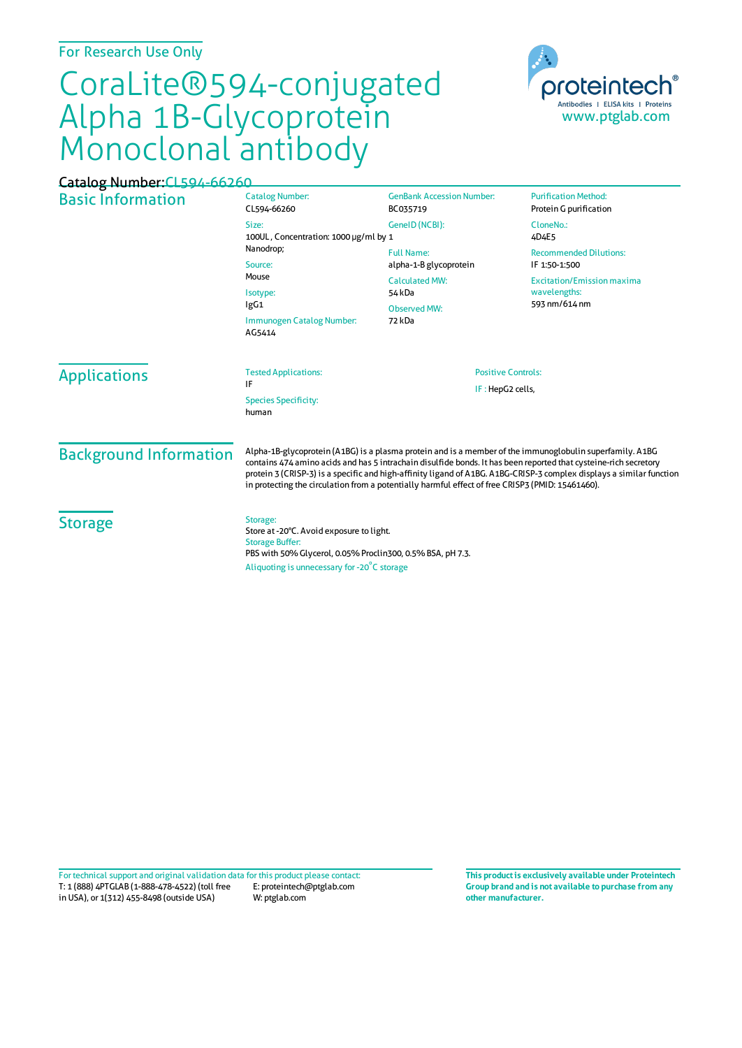## For Research Use Only

## CoraLite®594-conjugated Alpha 1B-Glycoprotein Monoclonal antibody



## Basic Information Catalog Number: CL594-66260 Size: 100UL , Concentration: 1000 μg/ml by 1 Nanodrop; Source: Mouse Isotype: IgG1 Immunogen Catalog Number: AG5414 GenBank Accession Number: BC035719 GeneID(NCBI): Full Name: alpha-1-B glycoprotein CalculatedMW: 54 kDa Observed MW: 72 kDa **Purification Method:** Protein G purification CloneNo.: 4D4E5 Recommended Dilutions: IF 1:50-1:500 Excitation/Emission maxima wavelengths: 593 nm/614 nm Applications Tested Applications: IF Species Specificity: human Positive Controls: IF : HepG2 cells, Background Information Alpha-1B-glycoprotein (A1BG) is a plasma protein and is a member ofthe immunoglobulin superfamily. A1BG contains 474 amino acids and has 5 intrachain disulfide bonds. It has been reported that cysteine-rich secretory protein 3 (CRISP-3) is a specific and high-affinity ligand of A1BG. A1BG-CRISP-3 complex displays a similar function in protecting the circulation from a potentially harmful effect of free CRISP3 (PMID: 15461460). **Storage** Storage: Store at -20°C. Avoid exposure to light. Storage Buffer: PBS with 50% Glycerol, 0.05% Proclin300, 0.5% BSA, pH 7.3. Aliquoting is unnecessary for -20<sup>°</sup>C storage Catalog Number:CL594-66260

T: 1 (888) 4PTGLAB (1-888-478-4522) (toll free in USA), or 1(312) 455-8498 (outside USA) E: proteintech@ptglab.com W: ptglab.com Fortechnical support and original validation data forthis product please contact: **This productis exclusively available under Proteintech**

**Group brand and is not available to purchase from any other manufacturer.**